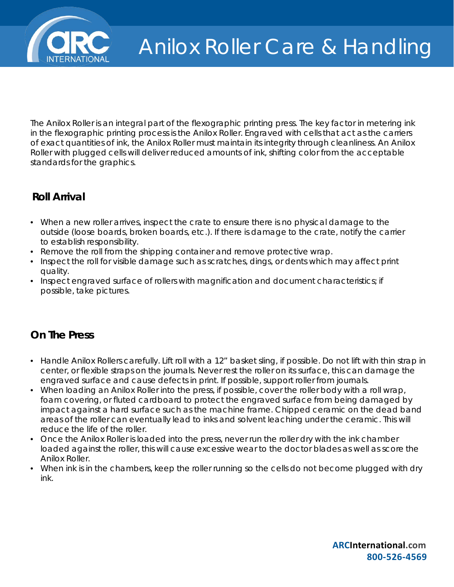

The Anilox Roller is an integral part of the flexographic printing press. The key factor in metering ink in the flexographic printing process is the Anilox Roller. Engraved with cells that act as the carriers of exact quantities of ink, the Anilox Roller must maintain its integrity through cleanliness. An Anilox Roller with plugged cells will deliver reduced amounts of ink, shifting color from the acceptable standards for the graphics.

## **Roll Arrival**

- When a new roller arrives, inspect the crate to ensure there is no physical damage to the outside (loose boards, broken boards, etc.). If there is damage to the crate, notify the carrier to establish responsibility.
- Remove the roll from the shipping container and remove protective wrap.
- Inspect the roll for visible damage such as scratches, dings, or dents which may affect print quality.
- Inspect engraved surface of rollers with magnification and document characteristics; if possible, take pictures.

## **On The Press**

- Handle Anilox Rollers carefully. Lift roll with a 12" basket sling, if possible. Do not lift with thin strap in center, or flexible straps on the journals. Never rest the roller on its surface, this can damage the engraved surface and cause defects in print. If possible, support roller from journals.
- When loading an Anilox Roller into the press, if possible, cover the roller body with a roll wrap, foam covering, or fluted cardboard to protect the engraved surface from being damaged by impact against a hard surface such as the machine frame. Chipped ceramic on the dead band areas of the roller can eventually lead to inks and solvent leaching under the ceramic. This will reduce the life of the roller.
- Once the Anilox Roller is loaded into the press, never run the roller dry with the ink chamber loaded against the roller, this will cause excessive wear to the doctor blades as well as score the Anilox Roller.
- When ink is in the chambers, keep the roller running so the cells do not become plugged with dry ink.